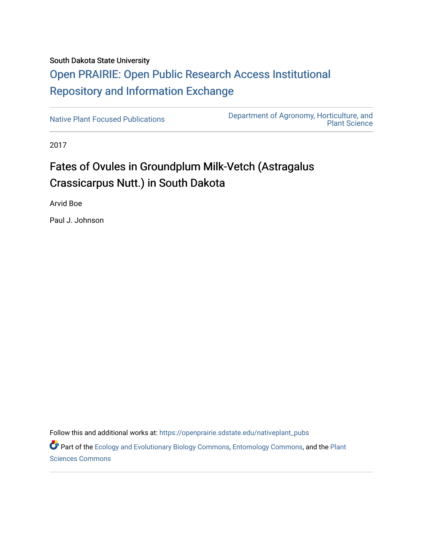## South Dakota State University [Open PRAIRIE: Open Public Research Access Institutional](https://openprairie.sdstate.edu/)  [Repository and Information Exchange](https://openprairie.sdstate.edu/)

[Native Plant Focused Publications](https://openprairie.sdstate.edu/nativeplant_pubs) [Department of Agronomy, Horticulture, and](https://openprairie.sdstate.edu/plant)  [Plant Science](https://openprairie.sdstate.edu/plant) 

2017

# Fates of Ovules in Groundplum Milk-Vetch (Astragalus Crassicarpus Nutt.) in South Dakota

Arvid Boe

Paul J. Johnson

Follow this and additional works at: [https://openprairie.sdstate.edu/nativeplant\\_pubs](https://openprairie.sdstate.edu/nativeplant_pubs?utm_source=openprairie.sdstate.edu%2Fnativeplant_pubs%2F21&utm_medium=PDF&utm_campaign=PDFCoverPages) 

Part of the [Ecology and Evolutionary Biology Commons](http://network.bepress.com/hgg/discipline/14?utm_source=openprairie.sdstate.edu%2Fnativeplant_pubs%2F21&utm_medium=PDF&utm_campaign=PDFCoverPages), [Entomology Commons](http://network.bepress.com/hgg/discipline/83?utm_source=openprairie.sdstate.edu%2Fnativeplant_pubs%2F21&utm_medium=PDF&utm_campaign=PDFCoverPages), and the [Plant](http://network.bepress.com/hgg/discipline/102?utm_source=openprairie.sdstate.edu%2Fnativeplant_pubs%2F21&utm_medium=PDF&utm_campaign=PDFCoverPages) [Sciences Commons](http://network.bepress.com/hgg/discipline/102?utm_source=openprairie.sdstate.edu%2Fnativeplant_pubs%2F21&utm_medium=PDF&utm_campaign=PDFCoverPages)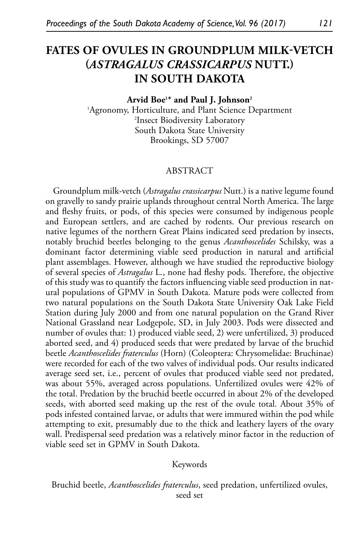### **FATES OF OVULES IN GROUNDPLUM MILK-VETCH (***ASTRAGALUS CRASSICARPUS* **NUTT.) IN SOUTH DAKOTA**

#### **Arvid Boe1 \* and Paul J. Johnson2**

1 Agronomy, Horticulture, and Plant Science Department 2 Insect Biodiversity Laboratory South Dakota State University Brookings, SD 57007

#### ABSTRACT

Groundplum milk-vetch (*Astragalus crassicarpus* Nutt.) is a native legume found on gravelly to sandy prairie uplands throughout central North America. The large and fleshy fruits, or pods, of this species were consumed by indigenous people and European settlers, and are cached by rodents. Our previous research on native legumes of the northern Great Plains indicated seed predation by insects, notably bruchid beetles belonging to the genus *Acanthoscelides* Schilsky, was a dominant factor determining viable seed production in natural and artificial plant assemblages. However, although we have studied the reproductive biology of several species of *Astragalus* L*.*, none had fleshy pods. Therefore, the objective of this study was to quantify the factors influencing viable seed production in natural populations of GPMV in South Dakota. Mature pods were collected from two natural populations on the South Dakota State University Oak Lake Field Station during July 2000 and from one natural population on the Grand River National Grassland near Lodgepole, SD, in July 2003. Pods were dissected and number of ovules that: 1) produced viable seed, 2) were unfertilized, 3) produced aborted seed, and 4) produced seeds that were predated by larvae of the bruchid beetle *Acanthoscelides fraterculus* (Horn) (Coleoptera: Chrysomelidae: Bruchinae) were recorded for each of the two valves of individual pods. Our results indicated average seed set, i.e., percent of ovules that produced viable seed not predated, was about 55%, averaged across populations. Unfertilized ovules were 42% of the total. Predation by the bruchid beetle occurred in about 2% of the developed seeds, with aborted seed making up the rest of the ovule total. About 35% of pods infested contained larvae, or adults that were immured within the pod while attempting to exit, presumably due to the thick and leathery layers of the ovary wall. Predispersal seed predation was a relatively minor factor in the reduction of viable seed set in GPMV in South Dakota.

#### Keywords

Bruchid beetle, *Acanthoscelides fraterculus*, seed predation, unfertilized ovules, seed set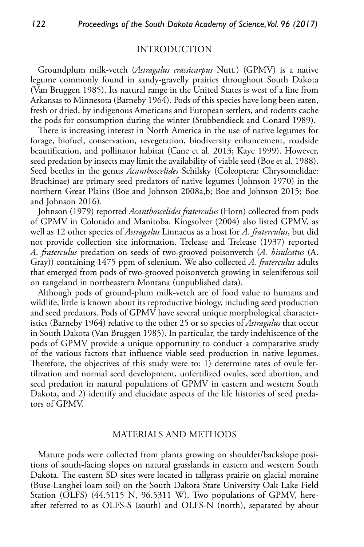#### INTRODUCTION

Groundplum milk-vetch (*Astragalus crassicarpus* Nutt*.*) (GPMV) is a native legume commonly found in sandy-gravelly prairies throughout South Dakota (Van Bruggen 1985). Its natural range in the United States is west of a line from Arkansas to Minnesota (Barneby 1964). Pods of this species have long been eaten, fresh or dried, by indigenous Americans and European settlers, and rodents cache the pods for consumption during the winter (Stubbendieck and Conard 1989).

There is increasing interest in North America in the use of native legumes for forage, biofuel, conservation, revegetation, biodiversity enhancement, roadside beautification, and pollinator habitat (Cane et al. 2013; Kaye 1999). However, seed predation by insects may limit the availability of viable seed (Boe et al. 1988). Seed beetles in the genus *Acanthoscelides* Schilsky (Coleoptera: Chrysomelidae: Bruchinae) are primary seed predators of native legumes (Johnson 1970) in the northern Great Plains (Boe and Johnson 2008a,b; Boe and Johnson 2015; Boe and Johnson 2016).

Johnson (1979) reported *Acanthoscelides fraterculus* (Horn) collected from pods of GPMV in Colorado and Manitoba. Kingsolver (2004) also listed GPMV, as well as 12 other species of *Astragalus* Linnaeus as a host for *A. fraterculus*, but did not provide collection site information. Trelease and Trelease (1937) reported *A*. *fraterculus* predation on seeds of two-grooved poisonvetch (*A. bisulcatus* (A. Gray)) containing 1475 ppm of selenium. We also collected *A. fraterculus* adults that emerged from pods of two-grooved poisonvetch growing in seleniferous soil on rangeland in northeastern Montana (unpublished data).

Although pods of ground-plum milk-vetch are of food value to humans and wildlife, little is known about its reproductive biology, including seed production and seed predators. Pods of GPMV have several unique morphological characteristics (Barneby 1964) relative to the other 25 or so species of *Astragalus* that occur in South Dakota (Van Bruggen 1985). In particular, the tardy indehiscence of the pods of GPMV provide a unique opportunity to conduct a comparative study of the various factors that influence viable seed production in native legumes. Therefore, the objectives of this study were to: 1) determine rates of ovule fertilization and normal seed development, unfertilized ovules, seed abortion, and seed predation in natural populations of GPMV in eastern and western South Dakota, and 2) identify and elucidate aspects of the life histories of seed predators of GPMV.

#### MATERIALS AND METHODS

Mature pods were collected from plants growing on shoulder/backslope positions of south-facing slopes on natural grasslands in eastern and western South Dakota. The eastern SD sites were located in tallgrass prairie on glacial moraine (Buse-Langhei loam soil) on the South Dakota State University Oak Lake Field Station (OLFS) (44.5115 N, 96.5311 W). Two populations of GPMV, hereafter referred to as OLFS-S (south) and OLFS-N (north), separated by about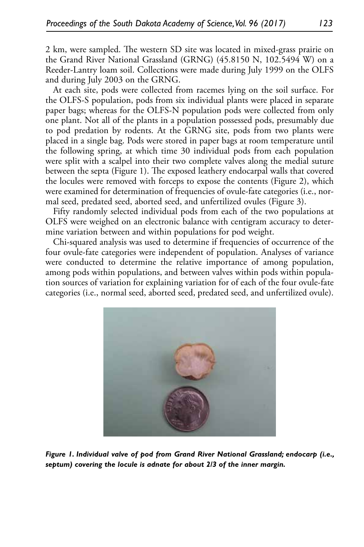2 km, were sampled. The western SD site was located in mixed-grass prairie on the Grand River National Grassland (GRNG) (45.8150 N, 102.5494 W) on a Reeder-Lantry loam soil. Collections were made during July 1999 on the OLFS and during July 2003 on the GRNG.

At each site, pods were collected from racemes lying on the soil surface. For the OLFS-S population, pods from six individual plants were placed in separate paper bags; whereas for the OLFS-N population pods were collected from only one plant. Not all of the plants in a population possessed pods, presumably due to pod predation by rodents. At the GRNG site, pods from two plants were placed in a single bag. Pods were stored in paper bags at room temperature until the following spring, at which time 30 individual pods from each population were split with a scalpel into their two complete valves along the medial suture between the septa (Figure 1). The exposed leathery endocarpal walls that covered the locules were removed with forceps to expose the contents (Figure 2), which were examined for determination of frequencies of ovule-fate categories (i.e., normal seed, predated seed, aborted seed, and unfertilized ovules (Figure 3).

Fifty randomly selected individual pods from each of the two populations at OLFS were weighed on an electronic balance with centigram accuracy to determine variation between and within populations for pod weight.

Chi-squared analysis was used to determine if frequencies of occurrence of the four ovule-fate categories were independent of population. Analyses of variance were conducted to determine the relative importance of among population, among pods within populations, and between valves within pods within population sources of variation for explaining variation for of each of the four ovule-fate categories (i.e., normal seed, aborted seed, predated seed, and unfertilized ovule).



*Figure 1. Individual valve of pod from Grand River National Grassland; endocarp (i.e., septum) covering the locule is adnate for about 2/3 of the inner margin.*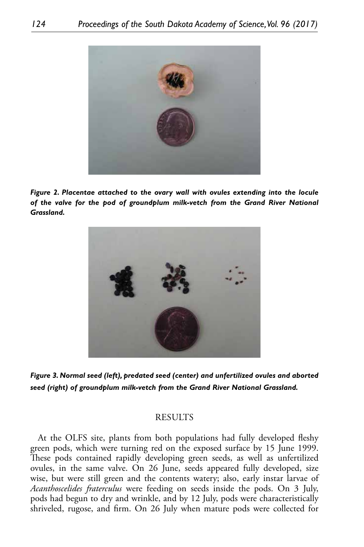

*Figure 2. Placentae attached to the ovary wall with ovules extending into the locule*  of the valve for the pod of groundplum milk-vetch from the Grand River National *Grassland.*



*Figure 3. Normal seed (left), predated seed (center) and unfertilized ovules and aborted seed (right) of groundplum milk-vetch from the Grand River National Grassland.*

#### **RESULTS**

At the OLFS site, plants from both populations had fully developed fleshy green pods, which were turning red on the exposed surface by 15 June 1999. These pods contained rapidly developing green seeds, as well as unfertilized ovules, in the same valve. On 26 June, seeds appeared fully developed, size wise, but were still green and the contents watery; also, early instar larvae of *Acanthoscelides fraterculus* were feeding on seeds inside the pods. On 3 July, pods had begun to dry and wrinkle, and by 12 July, pods were characteristically shriveled, rugose, and firm. On 26 July when mature pods were collected for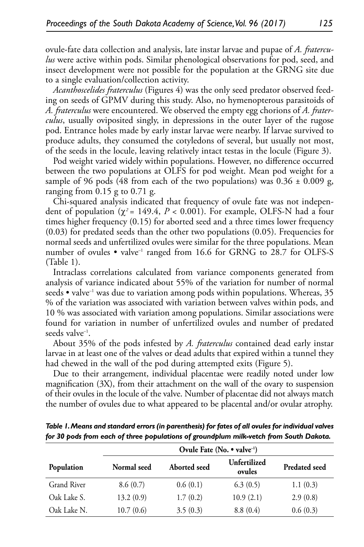ovule-fate data collection and analysis, late instar larvae and pupae of *A. fraterculus* were active within pods. Similar phenological observations for pod, seed, and insect development were not possible for the population at the GRNG site due to a single evaluation/collection activity.

*Acanthoscelides fraterculus* (Figures 4) was the only seed predator observed feeding on seeds of GPMV during this study. Also, no hymenopterous parasitoids of *A. fraterculus* were encountered. We observed the empty egg chorions of *A. fraterculus*, usually oviposited singly, in depressions in the outer layer of the rugose pod. Entrance holes made by early instar larvae were nearby. If larvae survived to produce adults, they consumed the cotyledons of several, but usually not most, of the seeds in the locule, leaving relatively intact testas in the locule (Figure 3).

Pod weight varied widely within populations. However, no difference occurred between the two populations at OLFS for pod weight. Mean pod weight for a sample of 96 pods (48 from each of the two populations) was  $0.36 \pm 0.009$  g, ranging from 0.15 g to 0.71 g.

Chi-squared analysis indicated that frequency of ovule fate was not independent of population  $(\chi^2 = 149.4, P < 0.001)$ . For example, OLFS-N had a four times higher frequency (0.15) for aborted seed and a three times lower frequency (0.03) for predated seeds than the other two populations (0.05). Frequencies for normal seeds and unfertilized ovules were similar for the three populations. Mean number of ovules  $\bullet$  valve<sup>-1</sup> ranged from 16.6 for GRNG to 28.7 for OLFS-S (Table 1).

Intraclass correlations calculated from variance components generated from analysis of variance indicated about 55% of the variation for number of normal seeds • valve<sup>-1</sup> was due to variation among pods within populations. Whereas,  $35$ % of the variation was associated with variation between valves within pods, and 10 % was associated with variation among populations. Similar associations were found for variation in number of unfertilized ovules and number of predated seeds valve<sup>-1</sup>.

About 35% of the pods infested by *A. fraterculus* contained dead early instar larvae in at least one of the valves or dead adults that expired within a tunnel they had chewed in the wall of the pod during attempted exits (Figure 5).

Due to their arrangement, individual placentae were readily noted under low magnification (3X), from their attachment on the wall of the ovary to suspension of their ovules in the locule of the valve. Number of placentae did not always match the number of ovules due to what appeared to be placental and/or ovular atrophy.

|             | Ovule Fate (No. • valve <sup>-1</sup> ) |              |                        |                      |
|-------------|-----------------------------------------|--------------|------------------------|----------------------|
| Population  | Normal seed                             | Aborted seed | Unfertilized<br>ovules | <b>Predated seed</b> |
| Grand River | 8.6(0.7)                                | 0.6(0.1)     | 6.3(0.5)               | 1.1(0.3)             |
| Oak Lake S. | 13.2(0.9)                               | 1.7(0.2)     | 10.9(2.1)              | 2.9(0.8)             |
| Oak Lake N. | 10.7(0.6)                               | 3.5(0.3)     | 8.8(0.4)               | 0.6(0.3)             |

*Table 1. Means and standard errors (in parenthesis) for fates of all ovules for individual valves for 30 pods from each of three populations of groundplum milk-vetch from South Dakota.*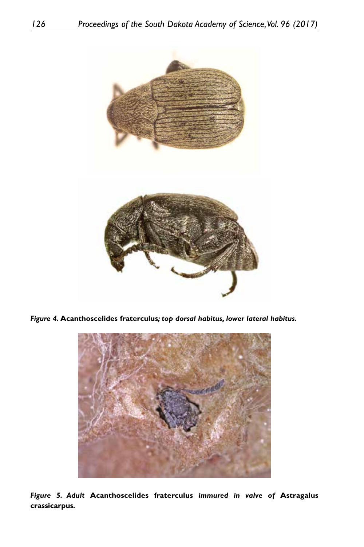

*Figure 4.* **Acanthoscelides fraterculus***; top dorsal habitus, lower lateral habitus.*



*Figure 5. Adult* **Acanthoscelides fraterculus** *immured in valve of* **Astragalus crassicarpus***.*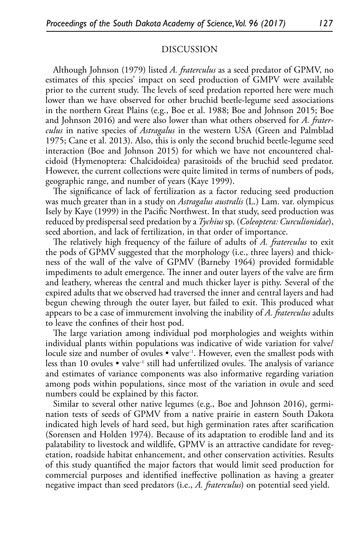#### DISCUSSION

Although Johnson (1979) listed *A. fraterculus* as a seed predator of GPMV, no estimates of this species' impact on seed production of GMPV were available prior to the current study. The levels of seed predation reported here were much lower than we have observed for other bruchid beetle-legume seed associations in the northern Great Plains (e.g., Boe et al. 1988; Boe and Johnson 2015; Boe and Johnson 2016) and were also lower than what others observed for *A. fraterculus* in native species of *Astragalus* in the western USA (Green and Palmblad 1975; Cane et al. 2013). Also, this is only the second bruchid beetle-legume seed interaction (Boe and Johnson 2015) for which we have not encountered chalcidoid (Hymenoptera: Chalcidoidea) parasitoids of the bruchid seed predator. However, the current collections were quite limited in terms of numbers of pods, geographic range, and number of years (Kaye 1999).

The significance of lack of fertilization as a factor reducing seed production was much greater than in a study on *Astragalus australis* (L.) Lam. var. olympicus Isely by Kaye (1999) in the Pacific Northwest. In that study, seed production was reduced by predispersal seed predation by a *Tychius* sp. (*Coleoptera: Curculionidae*), seed abortion, and lack of fertilization, in that order of importance.

The relatively high frequency of the failure of adults of *A. fraterculus* to exit the pods of GPMV suggested that the morphology (i.e., three layers) and thickness of the wall of the valve of GPMV (Barneby 1964) provided formidable impediments to adult emergence. The inner and outer layers of the valve are firm and leathery, whereas the central and much thicker layer is pithy. Several of the expired adults that we observed had traversed the inner and central layers and had begun chewing through the outer layer, but failed to exit. This produced what appears to be a case of immurement involving the inability of *A. fraterculus* adults to leave the confines of their host pod.

The large variation among individual pod morphologies and weights within individual plants within populations was indicative of wide variation for valve/ locule size and number of ovules • valve<sup>-1</sup>. However, even the smallest pods with less than 10 ovules  $\bullet$  valve<sup>-1</sup> still had unfertilized ovules. The analysis of variance and estimates of variance components was also informative regarding variation among pods within populations, since most of the variation in ovule and seed numbers could be explained by this factor.

Similar to several other native legumes (e.g., Boe and Johnson 2016), germination tests of seeds of GPMV from a native prairie in eastern South Dakota indicated high levels of hard seed, but high germination rates after scarification (Sorensen and Holden 1974). Because of its adaptation to erodible land and its palatability to livestock and wildlife, GPMV is an attractive candidate for revegetation, roadside habitat enhancement, and other conservation activities. Results of this study quantified the major factors that would limit seed production for commercial purposes and identified ineffective pollination as having a greater negative impact than seed predators (i.e., *A. fraterculus*) on potential seed yield.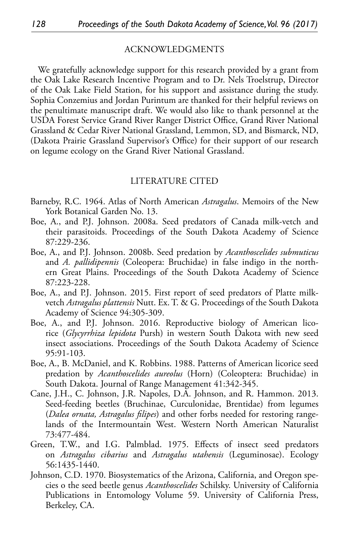#### ACKNOWLEDGMENTS

We gratefully acknowledge support for this research provided by a grant from the Oak Lake Research Incentive Program and to Dr. Nels Troelstrup, Director of the Oak Lake Field Station, for his support and assistance during the study. Sophia Conzemius and Jordan Purintum are thanked for their helpful reviews on the penultimate manuscript draft. We would also like to thank personnel at the USDA Forest Service Grand River Ranger District Office, Grand River National Grassland & Cedar River National Grassland, Lemmon, SD, and Bismarck, ND, (Dakota Prairie Grassland Supervisor's Office) for their support of our research on legume ecology on the Grand River National Grassland.

#### LITERATURE CITED

- Barneby, R.C. 1964. Atlas of North American *Astragalus*. Memoirs of the New York Botanical Garden No. 13.
- Boe, A., and P.J. Johnson. 2008a. Seed predators of Canada milk-vetch and their parasitoids. Proceedings of the South Dakota Academy of Science 87:229-236.
- Boe, A., and P.J. Johnson. 2008b. Seed predation by *Acanthoscelides submuticus* and *A. pallidipennis* (Coleopera: Bruchidae) in false indigo in the northern Great Plains. Proceedings of the South Dakota Academy of Science 87:223-228.
- Boe, A., and P.J. Johnson. 2015. First report of seed predators of Platte milkvetch *Astragalus plattensis* Nutt. Ex. T. & G. Proceedings of the South Dakota Academy of Science 94:305-309.
- Boe, A., and P.J. Johnson. 2016. Reproductive biology of American licorice (*Glycyrrhiza lepidota* Pursh) in western South Dakota with new seed insect associations. Proceedings of the South Dakota Academy of Science 95:91-103.
- Boe, A., B. McDaniel, and K. Robbins. 1988. Patterns of American licorice seed predation by *Acanthoscelides aureolus* (Horn) (Coleoptera: Bruchidae) in South Dakota. Journal of Range Management 41:342-345.
- Cane, J.H., C. Johnson, J.R. Napoles, D.A. Johnson, and R. Hammon. 2013. Seed-feeding beetles (Bruchinae, Curculonidae, Brentidae) from legumes (*Dalea ornata, Astragalus filipes*) and other forbs needed for restoring rangelands of the Intermountain West. Western North American Naturalist 73:477-484.
- Green, T.W., and I.G. Palmblad. 1975. Effects of insect seed predators on *Astragalus cibarius* and *Astragalus utahensis* (Leguminosae). Ecology 56:1435-1440.
- Johnson, C.D. 1970. Biosystematics of the Arizona, California, and Oregon species o the seed beetle genus *Acanthoscelides* Schilsky. University of California Publications in Entomology Volume 59. University of California Press, Berkeley, CA.